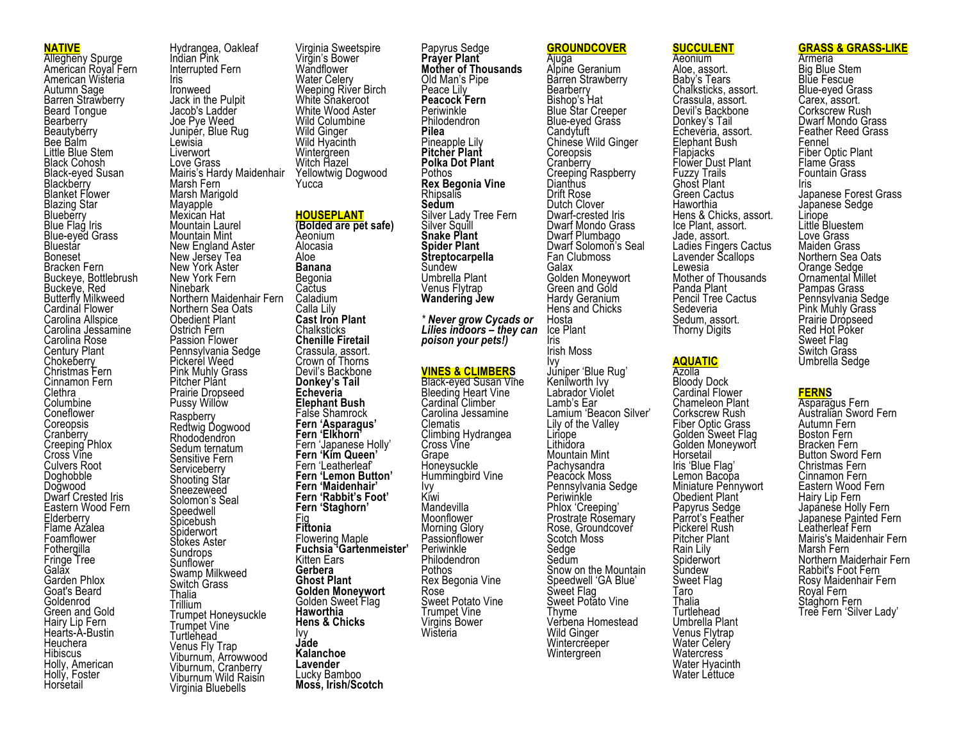### **NATIVE**

Allegheny Spurge American Royal Fern American Wisteria Autumn Sage Barren Strawberry Beard Tongue **Bearberry Beautyberry** Bee Balm Little Blue Stem Black Cohosh Black-eyed Susan<br>Blackberry Blanket Flower Blazing Star Blueberry Blue Flag Iris Blue-eyed Grass **Bluestar** Boneset Bracken Fern Buckeye, Bottlebrush Buckeye, Red Butterfly Milkweed Cardinal Flower Carolina Allspice Carolina Jessamine Carolina Rose Century Plant Chokeberry Christmas Fern Cinnamon Fern **Clethra** Columbine Coneflower Coreopsis<br>Cranberry Creeping Phlox Cross Vine Culvers Root Doghobble Dogwood Dwarf Crested Iris Eastern Wood Fern **Elderberry** Flame Azalea Foamflower **Fothergilla** Fringe Tree **Galax** Garden Phlox Goat's Beard Goldenrod Green and Gold Hairy Lip Fern Hearts-A-Bustin **Heuchera** Hibiscus Holly, American Holly, Foster **Horsetail** 

Hydrangea, Oakleaf Indian Pink Interrupted Fern Iris Ironweed Jack in the Pulpit Jacob's Ladder Joe Pye Weed Juniper, Blue Rug Lewisia<sup>®</sup> **Liverwort** Love Grass Mairis's Hardy Maidenhair Marsh Fern Marsh Marigold Mayapple Mexican Hat Mountain Laurel Mountain Mint New England Aster New Jersey Tea New York Aster New York Fern Ninebark Northern Maidenhair Fern Northern Sea Oats Obedient Plant Ostrich Fern Passion Flower Pennsylvania Sedge Pickerel Weed Pink Muhly Grass Pitcher Plant Prairie Dropseed Pussy Willow Raspberry Redtwig Dogwood Rhododendron Sedum ternatum Sensitive Fern **Serviceberry** Shooting Star Sneezeweed Solomon's Seal Speedwell Spicebush **Spiderwort** Stokes Aster Sundrops Sunflower Swamp Milkweed Switch Grass Thalia Trillium Trumpet Honeysuckle Trumpet Vine **Turtlehead** Venus Fly Trap Viburnum, Arrowwood Viburnum, Cranberry Viburnum Wild Raisin Virginia Bluebells Aloe Fig Ivy **Jade**

Virginia Sweetspire Virgin's Bower **Wandflower** Water Celery Weeping River Birch White Snakeroot White Wood Aster Wild Columbine Wild Ginger Wild Hyacinth Wintergreen Witch Hazel Yellowtwig Dogwood Yucca **HOUSEPLANT (Bolded are pet safe)** Aeonium Alocasia **Banana** Begonia Cactus<sup>®</sup> Caladium Calla Lily **Cast Iron Plant Chalksticks Chenille Firetail** Crassula, assort. Crown of Thorns Devil's Backbone **Donkey's Tail Echeveria Elephant Bush** False Shamrock **Fern 'Asparagus' Fern 'Elkhorn'** Fern 'Japanese Holly' **Fern 'Kim Queen'** Fern 'Leatherleaf' **Fern 'Lemon Button' Fern 'Maidenhair' Fern 'Rabbit's Foot' Fern 'Staghorn' Fittonia** Flowering Maple **Fuchsia 'Gartenmeister'** Kitten Ears **Gerbera Ghost Plant Golden Moneywort** Golden Sweet Flag **Haworthia Hens & Chicks Kalanchoe Lavender** Lucky Bamboo **Moss, Irish/Scotch**

Papyrus Sedge **Prayer Plant Mother of Thousands** Old Man's Pipe Peace Lily **Peacock Fern** Periwinkle Philodendron **Pilea** Pineapple Lily **Pitcher Plant Polka Dot Plant** Pothos **Rex Begonia Vine Rhipsalis Sedum** Silver Lady Tree Fern Silver Squill **Snake Plant Spider Plant Streptocarpella** Sundew Umbrella Plant **Wandering Jew** *\* Never grow Cycads or Lilies indoors – they can poison your pets!)* **VINES & CLIMBERS** Black-eyed Susan Vine<br>Bleeding Heart Vine Cardinal Climber Carolina Jessamine Clematis Climbing Hydrangea Cross Vine Grape Honeysuckle Hummingbird Vine Ivy Kiwi **Mandevilla** Moonflower Morning Glory Passionflower Periwinkle Philodendron Pothos Rex Begonia Vine Rose Sweet Potato Vine Trumpet Vine Virgins Bower Wisteria

**GROUNDCOVER**

Ajuga Alpine Geranium Barren Strawberry **Bearberry** Bishop's Hat Blue Star Creeper Blue-eyed Graṡs<br>Candytuft Chinese Wild Ginger Coreopsis Cranberry Creeping Raspberry **Dianthus** Drift Rose Dutch Clover Dwarf-crested Iris Dwarf Mondo Grass Dwarf Plumbago Dwarf Solomon's Seal Fan Clubmoss Galax Golden Moneywort Green and Gold Hardy Geranium Hens and Chicks Hosta Ice Plant Iris Irish Moss Ivy Juniper 'Blue Rug' Kenilworth Ivy Labrador Violet Lamb's Ear Lamium 'Beacon Silver' Lily of the Valley Liriope Lithidora Mountain Mint **Pachysandra** Peacock Moss Pennsylvania Sedge Periwinkle Phlox 'Creeping' Prostrate Rosemary Rose, Groundcover Scotch Moss **Sedge** Sedum Snow on the Mountain Speedwell 'GA Blue' Sweet Flag Sweet Potato Vine Thyme Verbena Homestead Wild Ginger Wintercrĕeper **Wintergreen** 

# **SUCCULENT**

Aeonium Aloe, assort. Baby's Tears Chalksticks, assort. Crassula, assort. Devil's Backbone Donkey's Tail Echevéria, assort. Elephant Bush **Flapjacks** Flower Dust Plant Fuzzy Trails Ghost Plant Green Cactus **Haworthia** Hens & Chicks, assort. Ice Plant, assort. Jade, assort. Ladies Fingers Cactus Lavender Scallops Lewesia Mother of Thousands Panda Plant Pencil Tree Cactus Sedeveria Sedum, assort. Thorny Digits

# **AQUATIC**

Azolla Bloody Dock Cardinal Flower Chameleon Plant Corkscrew Rush Fiber Optic Grass Golden Sweet Flag Golden Moneywort **Horsetail** Iris 'Blue Flag' Lemon Bacopa Miniature Pennywort Obedient Plant Papyrus Sedge Parrot's Feather Pickerel Rush Pitcher Plant Rain Lily Spiderwort Sundew Sweet Flag Taro Thalia **Turtlehead** Umbrella Plant Venus Flytrap Water Celery **Watercress** Water Hyacinth Water Léttuce

### **GRASS & GRASS-LIKE**

**Armeria** Big Blue Stem Blue Fescue Blue-eyed Grass Carex, assort. Corkscrew Rush Dwarf Mondo Grass Feather Reed Grass Fennel Fiber Optic Plant Flame Grass Fountain Grass Iris Japanese Forest Grass Japanese Sedge Little Bluestem Love Grass Maiden Grass Northern Sea Oats Orange Sedge Ornamental Millet Pampas Grass Pennsylvania Sedge Pink Muhly Grass Prairie Dropseed Red Hot Poker Sweet Flag Switch Grass Umbrella Sedge

## **FERNS**

Asparagus Fern Australian Sword Fern Autumn Fern Boston Fern Bracken Fern Button Sword Fern Christmas Fern Cinnamon Fern Eastern Wood Fern Hairy Lip Fern Japáneṡe Holly Fern Japanese Painted Fern Leatherleaf Fern Mairis's Maidenhair Fern Marsh Fern Northern Maiderhair Fern Rabbit's Foot Fern Rosy Maidenhair Fern Royal Fern Staghorn Fern Tree Fern 'Silver Lady'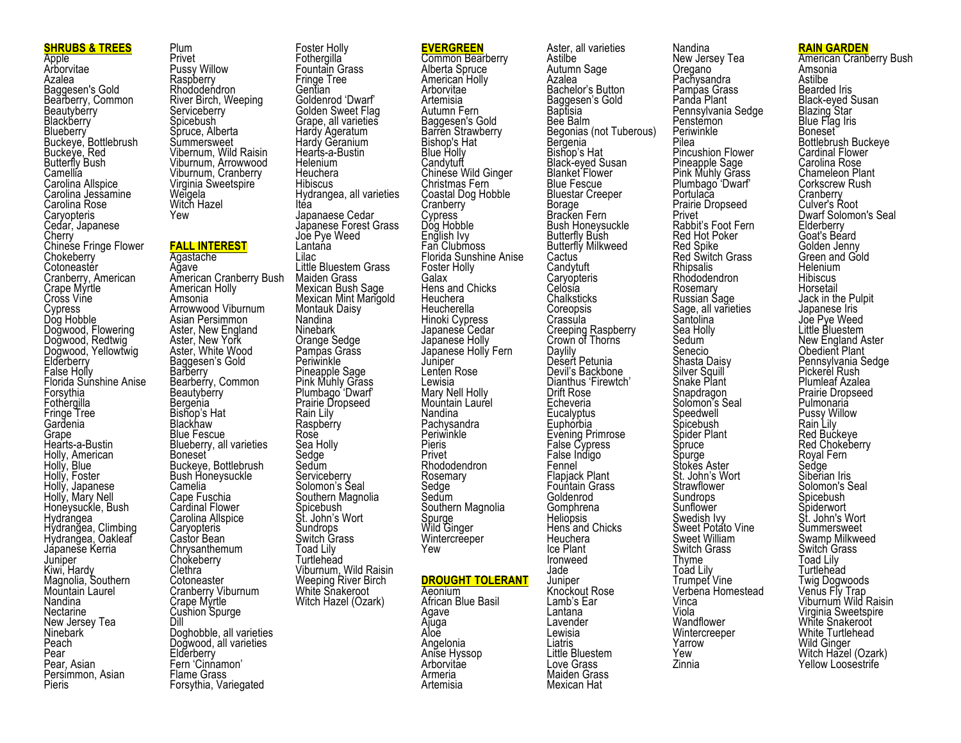## **SHRUBS & TREES**

Apple Arborvitae Azalea Baggesen's Gold Bearberry, Common **Beautyberry Blackberry Blueberry** Buckeye, Bottlebrush Buckeye, Red Butterfly Bush Camellía<br>Carolina Allspice Carolina Jessamine Carolina Rose **Caryopteris** Cedar, Japanese **Cherry** Chinese Fringe Flower **Chokeberry** Cotoneaster Cranberry, American Crape Myrtle Cross Vine Cypress Dog Hobble Dogwood, Flowering Dogwood, Redtwig Dogwood, Yellowtwig Elderberry<br>False Holly Florida Sunshine Anise Forsythia **Fothergilla** Fringe Tree Gardenia Grape Hearts-a-Bustin Holly, American Holly, Blue Holly, Foster Holly, Japanese Holly, Mary Nell Honeysuckle, Bush **Hydrangea** Hydrangea, Climbing Hydrangea, Oakleaf Jápaneše Kerria<br>Juniper Kiwi, Hardy Magnolia, Southern Mountain Laurel Nandina Nectarine New Jersey Tea Ninebark Peach Pear Pear, Asian Persimmon, Asian Pieris

Plum Privet Pussy Willow Raspberry **Rhododendron** River Birch, Weeping **Serviceberry** Spicebush Spruce, Alberta **Summersweet** Vibernum, Wild Raisin Viburnum, Arrowwood Viburnum, Cranberry Virginia Sweetspire Weigela Witch Hazel Yew

## **FALL INTEREST**

Agastache Agave American Cranberry Bush American Holly Amsonia Arrowwood Viburnum Asian Persimmon Aster, New England Aster, New York Aster, White Wood Baggesen's Gold **Barberry** Bearberry, Common **Beautyberry Bergenia** Bishop's Hat Blackhaw Blue Fescue Blueberry, all varieties Boneset Buckeye, Bottlebrush Bush Honeysuckle Camelia Cape Fuschia Cardinal Flower Carolina Allspice **Caryopteris** Castor Bean Chrysanthemum **Chokeberry Clethra Cotoneaster** Cranberry Viburnum Crape Myrtle Cushion Spurge Dill Doghobble, all varieties Dogwood, all varieties **Elderberry** Fern 'Cinnamon' Flame Grass Forsythia, Variegated

**Fothergilla** Fountain Grass Fringe Tree **Gentian** Goldenrod 'Dwarf' Golden Sweet Flag Grape, all varieties Hardy Ageratum Hardy Geranium Hearts-a-Bustin **Helenium Heuchera Hibiscus** Hydrangea, all varieties Itea Japanaese Cedar Japanese Forest Grass Joe Pye Weed Lantana Lilac Little Bluestem Grass Maiden Grass Mexican Bush Sage Mexican Mint Marigold Montauk Daisy Nandina Ninebark Orange Sedge Pampas Grass Periwinkle Pineapple Sage Pink Muhly Grass Plumbago 'Dwarf' Prairie Dropseed Rain Lily **Raspberry** Rose Sea Holly Sedge Sedŭm<br>Serviceberry Solomon's Seal Southern Magnolia Spicebush St. John's Wort Sundrops Switch Grass Toad Lily **Turtlehead** Viburnum, Wild Raisin Weeping River Birch White Snakeroot Witch Hazel (Ozark)

Foster Holly

**EVERGREEN** Common Bearberry Alberta Spruce American Holly Arborvitae Artemisia Autumn Fern Baggesen's Gold Barren Strawberry Bishop's Hat Blue Holly **Candytuff** Chinese Wild Ginger Christmas Fern Coastal Dog Hobble **Cranberry** Cypress Dog Hobble English Ivy Fan Clubmoss Florida Sunshine Anise Foster Holly Galax Hens and Chicks **Heuchera Heucherella** Hinoki Cypress Japanese Cedar Japanese Holly Japanese Holly Fern Juniper Lenten Rose Lewisia Mary Nell Holly Mountain Laurel Nandina **Pachysandra** Periwinkle Pieris Privet Rhododendron Rosemary **Sedge** Sedum Southern Magnolia Spurge Wild Ginger Wintercreeper Yew **DROUGHT TOLERANT** Aeonium African Blue Basil Agave **A**juga Aloe Angelonia Anise Hyssop

**Arborvitae** Armeria Artemisia

Aster, all varieties **Astilbe** Autumn Sage Azalea Bachelor's Button Baggesen's Gold Baptisia Bee Balm Begonias (not Tuberous) Bergenia Bishop's Hat<br>Black-eved Susan Black-eyed Susan<br>Blanket Flower Blue Fescue Bluestar Creeper Borage Bracken Fern Bush Honeysuckle Butterfly Bush Butterfly Milkweed Cactus` Candytuft Caryópteris Celósía **Chalksticks** Coreopsis Crassula Creeping Raspberry Crown of Thorns **Davlily** Desert Petunia Devil's Backbone Dianthus 'Firewtch' Drift Rose Echeveria **Eucalvptus** Euphóḟbia Evening Primrose False Cypress False Indigo Fennel Flapjack Plant Fountain Grass Goldenrod Gomphrena Heliopsis Hens and Chicks Heuchera Ice Plant Ironweed Jade Juniper Knockout Rose Lamb's Ear Lantana Lavender Lewisia Liatris Little Bluestem Love Grass Maiden Grass Mexican Hat

Nandina New Jersey Tea **Oregano Pachysandra** Pampas Grass Panda Plant Pennsylvania Sedge **Penstemon** Periwinkle Pilea Pincushion Flower Pineapple Sage Pink Muhly Grass Plumbago 'Dwarf' Portulaca Prairie Dropseed Privet Rabbit's Foot Fern Red Hot Poker Red Spike Red Switch Grass Rhipsalis **Rhododendron** Rosemary Russian Sage Sage, all varieties **Santolina** Sea Holly Sedum Senecio Shasta Daisy Silver Squill Snake Plant Snapdragon Solomon's Seal Speedwell Spicebush Spider Plant Spruce Spurge Stokes Aster St. John's Wort **Strawflower** Sundrops **Sunflower** Swedish Ivy Sweet Potato Vine Sweet William Switch Grass Thyme Toad Lily Trumpet Vine Verbena Homestead Vinca Viola **Wandflower Wintercreeper** Yarrow Yew Zinnia

#### **RAIN GARDEN**

American Cranberry Bush Amsonia Astilbe Bearded Iris<br>Black-eyed Susan Black-eyed Susan<br>Blazing Star Blue Flag Iris Boneset Bottlebrush Buckeye Cardinal Flower Carolina Rose Chameleon Plant Corkscrew Rush **Cranberry** Culver's Root Dwarf Solomon's Seal **Elderberry** Goat's Beard Golden Jenny Green and Gold Helenium **Hibiscus** Horsetail Jack in the Pulpit Japanese Iris Joe Pye Weed Little Bluestem New England Aster Obedient Plant Pennsylvania Sedge<br>Pickerel Rush Plumleaf Azalea Prairie Dropseed Pulmonaria Pussy Willow Rain Lily Red Buckeye Red Chokeberry Royal Fern Sedge Siberian Iris Solomon's Seal Spicebush **Spiderwort** St. John's Wort Summersweet Swamp Milkweed Switch Grass Toad Lily Turtlehead Twig Dogwoods Venus Fly Trap Viburnum Wild Raisin Virginia Sweetspire White Snakeroot White Turtlehead Wild Ginger Witch Hazel (Ozark) Yellow Loosestrife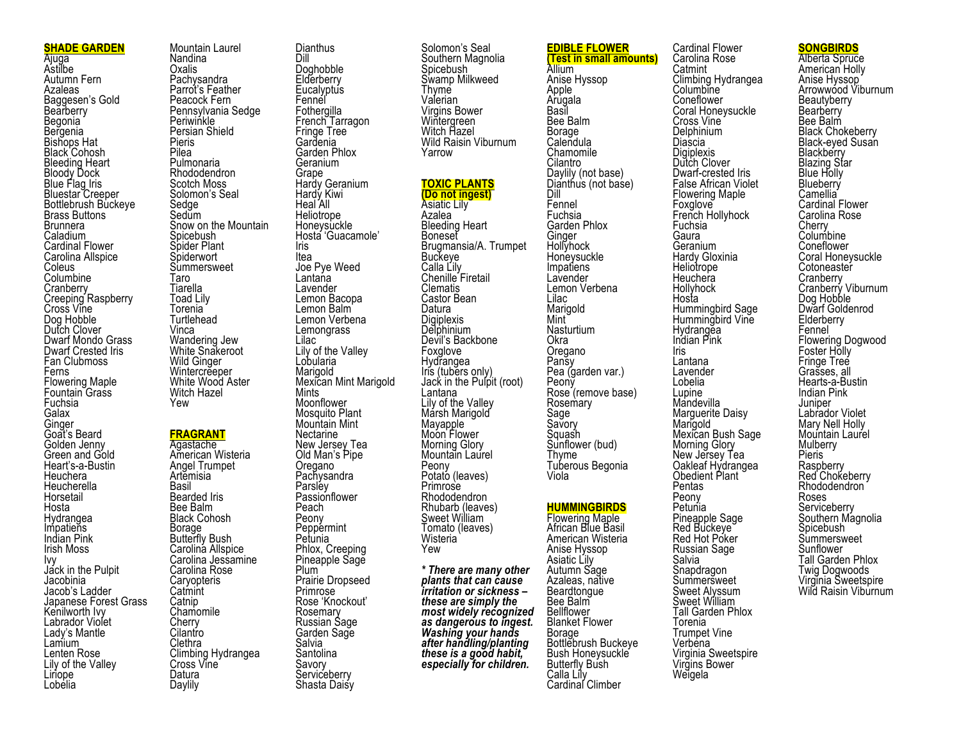#### **SHADE GARDEN**

Ajuga Astilbe Autumn Fern Azaleas Baggesen's Gold Bearberry Begonia Bergenia Bishops Hat Black Cohosh Bleeding Heart Bloody Dock Blue Flag Iris Bluestar Creeper Bottlebrush Buckeye Brass Buttons Brunnera Caladium Cardinal Flower Carolina Allspice Coleus Columbine **Cranberry** Creeping Raspberry Cross Vine Dog Hobble Dutch Clover Dwarf Mondo Grass Dwarf Crested Iris Fan Clubmoss Ferns Flowering Maple Fountain Grass Fuchsia Galax **Ginger** Goat's Beard Golden Jenny Green and Gold Heart's-a-Bustin Heuchera **Heucherella** Horsetail Hosta Hydrangea **Impatiens** Indian Pink Irish Moss Ivy Jack in the Pulpit Jacobinia Jacob's Ladder Japanese Forest Grass Kenilworth Ivv Labrador Violet Lady's Mantle Lamium Lenten Rose Lily of the Valley Liriope Lobelia

Mountain Laurel Nandina Oxalis Pachysandra Parrot's Feather Peacock Fern Pennsylvania Sedge **Periwinkle** Persian Shield Pieris Pilea Pulmonaria Rhododendron Scotch Moss Solomon's Seal Sedge<sup>®</sup> Sedum Snow on the Mountain Spicebush Spider Plant Spiderwort Summersweet Taro Tiarella Toad Lily Torenia Turtlehead Vinca Wandering Jew White Snakeroot Wild Ginger Wintercreeper White Wood Aster Witch Hazel Yew

#### **FRAGRANT Agastache**

American Wisteria Angel Trumpet Artemisia Basil Bearded Iris Bee Balm Black Cohosh Borage Butterfly Bush Carolina Allspice Carolina Jessamine Carolina Rose **Carvopteris Catmint** Catnip **Chamomile Cherry Cilantro** Clethra Climbing Hydrangea Cross Vine Datura Daylily

**Dianthus** Dill Doghobble **Elderberry Eucalyptus Fennel Fothergilla** French Tarragon Fringe Tree **Gardenia** Garden Phlox Geranium Grape Hardy Geranium Hardy Kiwi Heal All **Heliotrope** Honeysuckle Hosta 'Guacamole' Iris Itea Joe Pye Weed Lantana Lavender Lemon Bacopa Lemon Balm Lemon Verbena **Lemongrass** Lilac Lily of the Valley Lobularia Marigold Mexican Mint Marigold Mints **Moonflower** Mosquito Plant Mountain Mint Nectarine New Jersey Tea Old Man's Pipe Oregano **Pachysandra** Parsley **Passionflower** Peach Peony **Peppermint Petunia** Phlox, Creeping Pineapple Sage Plum Prairie Dropseed

> Primrose Rose 'Knockout' Rosemary Russian Sage Garden Sage Salvia **Santolina** Savory **Serviceberry** Shasta Daisy

Solomon's Seal Southern Magnolia **Spicebush** Swamp Milkweed Thyme Valerian Virgins Bower Wintergreen Witch Hazel Wild Raisin Viburnum Yarrow **TOXIC PLANTS (Do not ingest)** Asiatic Lily Azalea Bleeding Heart Boneset Brugmansia/A. Trumpet **Buckeve** Calla Lily Chenille Firetail Clematis Datura

Castor Bean **Digiplexis** Delphinium Devil's Backbone Foxglove Hydrangea Iris (tubers only) Jack in the Pulpit (root) Lantana Lily of the Valley Mársh Marigold Mayapple Moon Flower Morning Glory Mountain Laurel Peony Potato (leaves) Primrose Rhododendron Rhubarb (leaves) Sweet William Tomato (leaves) Wisteria Yew

*\* There are many other plants that can cause irritation or sickness – these are simply the most widely recognized as dangerous to ingest. Washing your hands after handling/planting these is a good habit, especially for children.*

**EDIBLE FLOWER (Test in small amounts)**

Allium Anise Hyssop Apple Arugala Basil Bee Balm Borage Calendula Chamomile Cilantro Daylily (not base) Dianthus (not base) Dill Fennel Fuchsia Garden Phlox Ginger Hollyhock Honeysuckle Impatiens Lavender Lemon Verbena Lilac Marigold Mint **Nasturtium** Okra Oregano Pansy Pea (garden var.) Peony Rose (remove base) **Rosemary** Sage Savory Squash Sunflower (bud) Thyme Tuberous Begonia Viola

## **HUMMINGBIRDS**

Flowering Maple African Blue Basil American Wisteria Anise Hyssop Asiatic Lily Autumn Sage Azaleas, native **Beardtongue** Bee Balm Bellflower Blanket Flower Borage Bottlebrush Buckeye Bush Honeysuckle Butterfly Bush Calla Lily Cardinal Climber

Cardinal Flower Carolina Rose Catmint Climbing Hydrangea Columbine **Coneflower** Coral Honeysuckle Cross Vine **Delphinium Diascia Digiplexis** Dutch Clover Dwarf-crested Iris False African Violet Flowering Maple Foxglove French Hollyhock Fuchsia Gaura **Geranium** Hardy Gloxinia Heliotrope **Heuchera Hollyhock** Hosta Hummingbird Sage Hummingbird Vine Hydrangea Indian Pink Iris Lantana Lavender Lobelia Lupine **Mandevilla** Marguerite Daisy Marigold Mexican Bush Sage Morning Glory New Jersey Tea Oakleaf Hydrangea Obedient Plant Pentas Peony **Petunia** Pineapple Sage<br>Red Buckeye Red Hot Poker Russian Sage Salvia Snapdragon **Summersweet** Sweet Alyssum Sweet William Tall Garden Phlox Torenia Trumpet Vine

Verbena

Virginia Sweetspire Virgins Bower Weigela

**SONGBIRDS**

Alberta Spruce American Holly Anise Hyssop Arrowwood Viburnum **Beautyberry Bearberry** Bee Balm Black Chokeberry Black-eyed Susan<br>Blackberry Blazing Star Blue Holly **Blueberry** Camellia Cardinal Flower Carolina Rose **Cherry Columbine Coneflower** Coral Honeysuckle Cotoneaster **Cranberry** Cranberry Viburnum Dog Hobble Dwarf Goldenrod **Elderberry** Fennel Flowering Dogwood Foster Holly Fringe Treé Grasses, all Hearts-a-Bustin Indian Pink Juniper Labrador Violet Mary Nell Holly Mountain Laurel Mulberry Pieris Raspberry Red Chokeberry Rhododendron Roses **Serviceberry** Southern Magnolia<br>Spicebush **Summersweet** Sunflower Tall Garden Phlox Twig Dogwoods Virginia Sweetspire Wild Raisin Viburnum